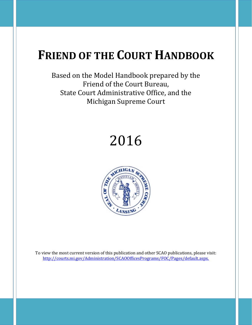## **FRIEND OF THE COURT HANDBOOK**

Based on the Model Handbook prepared by the Friend of the Court Bureau, State Court Administrative Office, and the Michigan Supreme Court

# 2016



To view the most current version of this publication and other SCAO publications, please visit: [http://courts.mi.gov/Administration/SCAOOfficesPrograms/FOC/Pages/default.aspx.](http://courts.mi.gov/Administration/SCAOOfficesPrograms/FOC/Pages/default.aspx)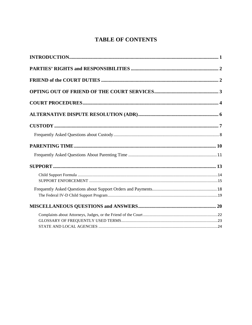## **TABLE OF CONTENTS**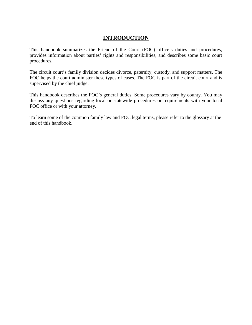## **INTRODUCTION**

<span id="page-2-0"></span>This handbook summarizes the Friend of the Court (FOC) office's duties and procedures, provides information about parties' rights and responsibilities, and describes some basic court procedures.

The circuit court's family division decides divorce, paternity, custody, and support matters. The FOC helps the court administer these types of cases. The FOC is part of the circuit court and is supervised by the chief judge.

This handbook describes the FOC's general duties. Some procedures vary by county. You may discuss any questions regarding local or statewide procedures or requirements with your local FOC office or with your attorney.

To learn some of the common family law and FOC legal terms, please refer to the glossary at the end of this handbook.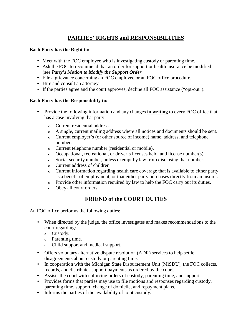## **PARTIES' RIGHTS and RESPONSIBILITIES**

#### <span id="page-3-0"></span>**Each Party has the Right to:**

- Meet with the FOC employee who is investigating custody or parenting time.
- Ask the FOC to recommend that an order for support or health insurance be modified (see *Party's Motion to Modify the Support Order.*
- File a grievance concerning an FOC employee or an FOC office procedure.
- Hire and consult an attorney.
- If the parties agree and the court approves, decline all FOC assistance ("opt-out").

#### **Each Party has the Responsibility to:**

- Provide the following information and any changes **in writing** to every FOC office that has a case involving that party:
	- o Current residential address.
	- o A single, current mailing address where all notices and documents should be sent.
	- o Current employer's (or other source of income) name, address, and telephone number.
	- o Current telephone number (residential or mobile).
	- o Occupational, recreational, or driver's licenses held, and license number(s).
	- o Social security number, unless exempt by law from disclosing that number.
	- o Current address of children.
	- o Current information regarding health care coverage that is available to either party as a benefit of employment, or that either party purchases directly from an insurer.
	- o Provide other information required by law to help the FOC carry out its duties.
	- o Obey all court orders.

## **FRIEND of the COURT DUTIES**

<span id="page-3-1"></span>An FOC office performs the following duties:

- When directed by the judge, the office investigates and makes recommendations to the court regarding:
	- <sup>o</sup> Custody.
	- <sup>o</sup> Parenting time.
	- Child support and medical support.
- Offers voluntary alternative dispute resolution (ADR) services to help settle disagreements about custody or parenting time.
- In cooperation with the Michigan State Disbursement Unit (MiSDU), the FOC collects, records, and distributes support payments as ordered by the court.
- Assists the court with enforcing orders of custody, parenting time, and support.
- Provides forms that parties may use to file motions and responses regarding custody, parenting time, support, change of domicile, and repayment plans.
- Informs the parties of the availability of joint custody.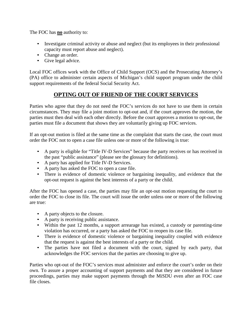The FOC has **no** authority to:

- Investigate criminal activity or abuse and neglect (but its employees in their professional capacity must report abuse and neglect).
- Change an order.
- Give legal advice.

<span id="page-4-0"></span>Local FOC offices work with the Office of Child Support (OCS) and the Prosecuting Attorney's (PA) office to administer certain aspects of Michigan's child support program under the child support requirements of the federal Social Security Act.

## **OPTING OUT OF FRIEND OF THE COURT SERVICES**

Parties who agree that they do not need the FOC's services do not have to use them in certain circumstances. They may file a joint motion to opt-out and, if the court approves the motion, the parties must then deal with each other directly. Before the court approves a motion to opt-out, the parties must file a document that shows they are voluntarily giving up FOC services.

If an opt-out motion is filed at the same time as the complaint that starts the case, the court must order the FOC not to open a case file unless one or more of the following is true:

- A party is eligible for "Title IV-D Services" because the party receives or has received in the past "public assistance" (please see the glossary for definitions).
- A party has applied for Title IV-D Services.
- A party has asked the FOC to open a case file.
- There is evidence of domestic violence or bargaining inequality, and evidence that the opt-out request is against the best interests of a party or the child.

After the FOC has opened a case, the parties may file an opt-out motion requesting the court to order the FOC to close its file. The court will issue the order unless one or more of the following are true:

- A party objects to the closure.
- A party is receiving public assistance.
- Within the past 12 months, a support arrearage has existed, a custody or parenting-time violation has occurred, or a party has asked the FOC to reopen its case file.
- There is evidence of domestic violence or bargaining inequality coupled with evidence that the request is against the best interests of a party or the child.
- The parties have not filed a document with the court, signed by each party, that acknowledges the FOC services that the parties are choosing to give up.

Parties who opt-out of the FOC's services must administer and enforce the court's order on their own. To assure a proper accounting of support payments and that they are considered in future proceedings, parties may make support payments through the MiSDU even after an FOC case file closes.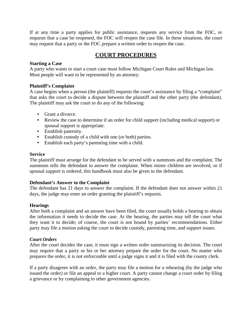If at any time a party applies for public assistance, requests any service from the FOC, or requests that a case be reopened, the FOC will reopen the case file. In these situations, the court may request that a party or the FOC prepare a written order to reopen the case.

## **COURT PROCEDURES**

#### <span id="page-5-0"></span>**Starting a Case**

A party who wants to start a court case must follow Michigan Court Rules and Michigan law. Most people will want to be represented by an attorney.

#### **Plaintiff's Complaint**

A case begins when a person (the plaintiff) requests the court's assistance by filing a "complaint" that asks the court to decide a dispute between the plaintiff and the other party (the defendant). The plaintiff may ask the court to do any of the following:

- Grant a divorce.
- Review the case to determine if an order for child support (including medical support) or spousal support is appropriate.
- Establish paternity.
- Establish custody of a child with one (or both) parties.
- Establish each party's parenting time with a child.

#### **Service**

The plaintiff must arrange for the defendant to be served with a summons and the complaint. The summons tells the defendant to answer the complaint. When minor children are involved, or if spousal support is ordered, this handbook must also be given to the defendant.

#### **Defendant's Answer to the Complaint**

The defendant has 21 days to answer the complaint. If the defendant does not answer within 21 days, the judge may enter an order granting the plaintiff's requests.

#### **Hearings**

After both a complaint and an answer have been filed, the court usually holds a hearing to obtain the information it needs to decide the case. At the hearing, the parties may tell the court what they want it to decide; of course, the court is not bound by parties' recommendations. Either party may file a motion asking the court to decide custody, parenting time, and support issues.

#### *Court Orders*

After the court decides the case, it must sign a written order summarizing its decision. The court may require that a party or his or her attorney prepare the order for the court. No matter who prepares the order, it is not enforceable until a judge signs it and it is filed with the county clerk.

If a party disagrees with an order, the party may file a motion for a rehearing (by the judge who issued the order) or file an appeal to a higher court. A party cannot change a court order by filing a grievance or by complaining to other government agencies.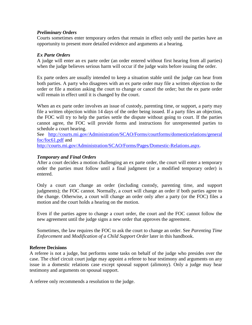#### *Preliminary Orders*

Courts sometimes enter temporary orders that remain in effect only until the parties have an opportunity to present more detailed evidence and arguments at a hearing.

#### *Ex Parte Orders*

A judge will enter an ex parte order (an order entered without first hearing from all parties) when the judge believes serious harm will occur if the judge waits before issuing the order.

Ex parte orders are usually intended to keep a situation stable until the judge can hear from both parties. A party who disagrees with an ex parte order may file a written objection to the order or file a motion asking the court to change or cancel the order; but the ex parte order will remain in effect until it is changed by the court.

When an ex parte order involves an issue of custody, parenting time, or support, a party may file a written objection within 14 days of the order being issued. If a party files an objection, the FOC will try to help the parties settle the dispute without going to court. If the parties cannot agree, the FOC will provide forms and instructions for unrepresented parties to schedule a court hearing.

See [http://courts.mi.gov/Administration/SCAO/Forms/courtforms/domesticrelations/general](http://courts.mi.gov/Administration/SCAO/Forms/courtforms/domesticrelations/generalfoc/foc61.pdf) [foc/foc61.pdf](http://courts.mi.gov/Administration/SCAO/Forms/courtforms/domesticrelations/generalfoc/foc61.pdf) and

[http://courts.mi.gov/Administration/SCAO/Forms/Pages/Domestic-Relations.aspx.](http://courts.mi.gov/Administration/SCAO/Forms/Pages/Domestic-Relations.aspx)

#### *Temporary and Final Orders*

After a court decides a motion challenging an ex parte order, the court will enter a temporary order the parties must follow until a final judgment (or a modified temporary order) is entered.

Only a court can change an order (including custody, parenting time, and support judgments); the FOC cannot. Normally, a court will change an order if both parties agree to the change. Otherwise, a court will change an order only after a party (or the FOC) files a motion and the court holds a hearing on the motion.

Even if the parties agree to change a court order, the court and the FOC cannot follow the new agreement until the judge signs a new order that approves the agreement.

Sometimes, the law requires the FOC to ask the court to change an order. See *Parenting Time Enforcement* and *Modification of a Child Support Order* later in this handbook.

#### **Referee Decisions**

A referee is not a judge, but performs some tasks on behalf of the judge who presides over the case. The chief circuit court judge may appoint a referee to hear testimony and arguments on any issue in a domestic relations case except spousal support (alimony). Only a judge may hear testimony and arguments on spousal support.

A referee only recommends a resolution to the judge.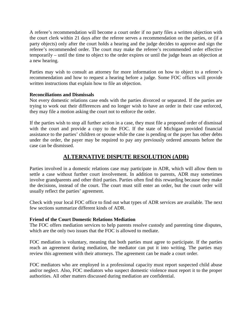A referee's recommendation will become a court order if no party files a written objection with the court clerk within 21 days after the referee serves a recommendation on the parties, or (if a party objects) only after the court holds a hearing and the judge decides to approve and sign the referee's recommended order. The court may make the referee's recommended order effective temporarily – until the time to object to the order expires or until the judge hears an objection at a new hearing.

Parties may wish to consult an attorney for more information on how to object to a referee's recommendation and how to request a hearing before a judge. Some FOC offices will provide written instructions that explain how to file an objection.

#### **Reconciliations and Dismissals**

Not every domestic relations case ends with the parties divorced or separated. If the parties are trying to work out their differences and no longer wish to have an order in their case enforced, they may file a motion asking the court not to enforce the order.

If the parties wish to stop all further action in a case, they must file a proposed order of dismissal with the court and provide a copy to the FOC. If the state of Michigan provided financial assistance to the parties' children or spouse while the case is pending or the payer has other debts under the order, the payer may be required to pay any previously ordered amounts before the case can be dismissed.

## **ALTERNATIVE DISPUTE RESOLUTION (ADR)**

<span id="page-7-0"></span>Parties involved in a domestic relations case may participate in ADR, which will allow them to settle a case without further court involvement. In addition to parents, ADR may sometimes involve grandparents and other third parties. Parties often find this rewarding because they make the decisions, instead of the court. The court must still enter an order, but the court order will usually reflect the parties' agreement.

Check with your local FOC office to find out what types of ADR services are available. The next few sections summarize different kinds of ADR.

#### **Friend of the Court Domestic Relations Mediation**

The FOC offers mediation services to help parents resolve custody and parenting time disputes, which are the only two issues that the FOC is allowed to mediate.

FOC mediation is voluntary, meaning that both parties must agree to participate. If the parties reach an agreement during mediation, the mediator can put it into writing. The parties may review this agreement with their attorneys. The agreement can be made a court order.

FOC mediators who are employed in a professional capacity must report suspected child abuse and/or neglect. Also, FOC mediators who suspect domestic violence must report it to the proper authorities. All other matters discussed during mediation are confidential.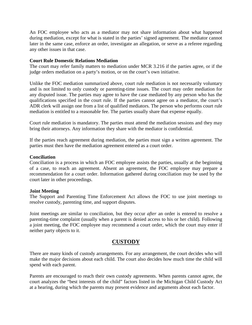An FOC employee who acts as a mediator may not share information about what happened during mediation, except for what is stated in the parties' signed agreement. The mediator cannot later in the same case, enforce an order, investigate an allegation, or serve as a referee regarding any other issues in that case.

#### **Court Rule Domestic Relations Mediation**

The court may refer family matters to mediation under MCR 3.216 if the parties agree, or if the judge orders mediation on a party's motion, or on the court's own initiative.

Unlike the FOC mediation summarized above, court rule mediation is not necessarily voluntary and is not limited to only custody or parenting-time issues. The court may order mediation for any disputed issue. The parties may agree to have the case mediated by any person who has the qualifications specified in the court rule. If the parties cannot agree on a mediator, the court's ADR clerk will assign one from a list of qualified mediators. The person who performs court rule mediation is entitled to a reasonable fee. The parties usually share that expense equally.

Court rule mediation is mandatory. The parties must attend the mediation sessions and they may bring their attorneys. Any information they share with the mediator is confidential.

If the parties reach agreement during mediation, the parties must sign a written agreement. The parties must then have the mediation agreement entered as a court order.

#### **Conciliation**

Conciliation is a process in which an FOC employee assists the parties, usually at the beginning of a case, to reach an agreement. Absent an agreement, the FOC employee may prepare a recommendation for a court order. Information gathered during conciliation may be used by the court later in other proceedings.

#### **Joint Meeting**

The Support and Parenting Time Enforcement Act allows the FOC to use joint meetings to resolve custody, parenting time, and support disputes.

Joint meetings are similar to conciliation, but they occur *after* an order is entered to resolve a parenting-time complaint (usually when a parent is denied access to his or her child). Following a joint meeting, the FOC employee may recommend a court order, which the court may enter if neither party objects to it.

#### **CUSTODY**

<span id="page-8-0"></span>There are many kinds of custody arrangements. For any arrangement, the court decides who will make the major decisions about each child. The court also decides how much time the child will spend with each parent.

Parents are encouraged to reach their own custody agreements. When parents cannot agree, the court analyzes the "best interests of the child" factors listed in the Michigan Child Custody Act at a hearing, during which the parents may present evidence and arguments about each factor.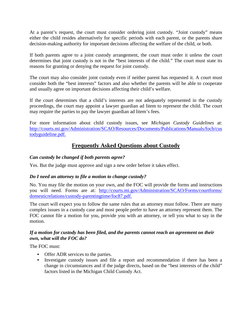At a parent's request, the court must consider ordering joint custody. "Joint custody" means either the child resides alternatively for specific periods with each parent, or the parents share decision-making authority for important decisions affecting the welfare of the child, or both.

If both parents agree to a joint custody arrangement, the court must order it unless the court determines that joint custody is not in the "best interests of the child." The court must state its reasons for granting or denying the request for joint custody.

The court may also consider joint custody even if neither parent has requested it. A court must consider both the "best interests" factors and also whether the parents will be able to cooperate and usually agree on important decisions affecting their child's welfare.

If the court determines that a child's interests are not adequately represented in the custody proceedings, the court may appoint a lawyer guardian ad litem to represent the child. The court may require the parties to pay the lawyer guardian ad litem's fees.

<span id="page-9-0"></span>For more information about child custody issues, see *Michigan Custody Guidelines* at: [http://courts.mi.gov/Administration/SCAO/Resources/Documents/Publications/Manuals/focb/cus](http://courts.mi.gov/Administration/SCAO/Resources/Documents/Publications/Manuals/focb/custodyguideline.pdf) [todyguideline.pdf.](http://courts.mi.gov/Administration/SCAO/Resources/Documents/Publications/Manuals/focb/custodyguideline.pdf)

## **Frequently Asked Questions about Custody**

#### *Can custody be changed if both parents agree?*

Yes. But the judge must approve and sign a new order before it takes effect.

#### *Do I need an attorney to file a motion to change custody?*

No. You may file the motion on your own, and the FOC will provide the forms and instructions you will need. Forms are at: [http://courts.mi.gov/Administration/SCAO/Forms/courtforms/](http://courts.mi.gov/Administration/SCAO/Forms/courtforms/domesticrelations/custody-parentingtime/foc87.pdf) [domesticrelations/custody](http://courts.mi.gov/Administration/SCAO/Forms/courtforms/domesticrelations/custody-parentingtime/foc87.pdf)**-**[parentingtime/foc87.pdf.](http://courts.mi.gov/Administration/SCAO/Forms/courtforms/domesticrelations/custody-parentingtime/foc87.pdf)

The court will expect you to follow the same rules that an attorney must follow. There are many complex issues in a custody case and most people prefer to have an attorney represent them. The FOC cannot file a motion for you, provide you with an attorney, or tell you what to say in the motion.

#### *If a motion for custody has been filed, and the parents cannot reach an agreement on their own, what will the FOC do?*

The FOC must:

- Offer ADR services to the parties.
- Investigate custody issues and file a report and recommendation if there has been a change in circumstances and if the judge directs, based on the "best interests of the child" factors listed in the Michigan Child Custody Act.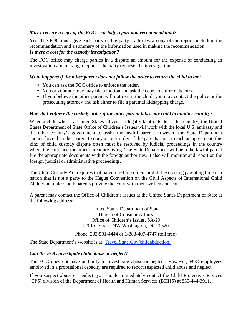#### *May I receive a copy of the FOC's custody report and recommendation?*

Yes. The FOC must give each party or the party's attorney a copy of the report, including the recommendation and a summary of the information used in making the recommendation. *Is there a cost for the custody investigation?*

The FOC office may charge parties in a dispute an amount for the expense of conducting an investigation and making a report if the party requests the investigation.

#### *What happens if the other parent does not follow the order to return the child to me?*

- You can ask the FOC office to enforce the order.
- You or your attorney may file a motion and ask the court to enforce the order.
- If you believe the other parent will not return the child, you may contact the police or the prosecuting attorney and ask either to file a parental kidnapping charge.

#### *How do I enforce the custody order if the other parent takes our child to another country?*

When a child who is a United States citizen is illegally kept outside of this country, the United States Department of State Office of Children's Issues will work with the local U.S. embassy and the other country's government to assist the lawful parent. However, the State Department cannot force the other parent to obey a court order. If the parents cannot reach an agreement, this kind of child custody dispute often must be resolved by judicial proceedings in the country where the child and the other parent are living. The State Department will help the lawful parent file the appropriate documents with the foreign authorities. It also will monitor and report on the foreign judicial or administrative proceedings.

The Child Custody Act requires that parenting-time orders prohibit exercising parenting time in a nation that is not a party to the Hague Convention on the Civil Aspects of International Child Abduction, unless both parents provide the court with their written consent.

A parent may contact the Office of Children's Issues at the United States Department of State at the following address:

> United States Department of State Bureau of Consular Affairs Office of Children's Issues, SA-29 2201 C Street, NW Washington, DC 20520

Phone: 202-501-4444 or 1-888-407-4747 (toll free)

The State Department's website is at: [Travel.State.Gov/childabduction.](http://travel.state.gov/childabduction)

#### *Can the FOC investigate child abuse or neglect?*

The FOC does not have authority to investigate abuse or neglect. However, FOC employees employed in a professional capacity are required to report suspected child abuse and neglect.

If you suspect abuse or neglect, you should immediately contact the Child Protective Services (CPS) division of the Department of Health and Human Services (DHHS) at 855-444-3911.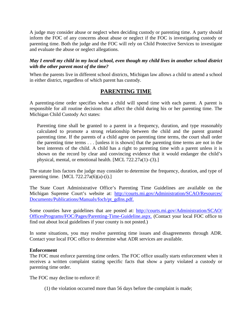A judge may consider abuse or neglect when deciding custody or parenting time. A party should inform the FOC of any concerns about abuse or neglect if the FOC is investigating custody or parenting time. Both the judge and the FOC will rely on Child Protective Services to investigate and evaluate the abuse or neglect allegations.

#### *May I enroll my child in my local school, even though my child lives in another school district with the other parent most of the time?*

<span id="page-11-0"></span>When the parents live in different school districts, Michigan law allows a child to attend a school in either district, regardless of which parent has custody.

## **PARENTING TIME**

A parenting-time order specifies when a child will spend time with each parent. A parent is responsible for all routine decisions that affect the child during his or her parenting time. The Michigan Child Custody Act states:

Parenting time shall be granted to a parent in a frequency, duration, and type reasonably calculated to promote a strong relationship between the child and the parent granted parenting time. If the parents of a child agree on parenting time terms, the court shall order the parenting time terms . . . [unless it is shown] that the parenting time terms are not in the best interests of the child. A child has a right to parenting time with a parent unless it is shown on the record by clear and convincing evidence that it would endanger the child's physical, mental, or emotional health. [MCL 722.27a(1)–(3).]

The statute lists factors the judge may consider to determine the frequency, duration, and type of parenting time. [MCL 722.27 $a(6)(a)-(i).$ ]

The State Court Administrative Office's Parenting Time Guidelines are available on the Michigan Supreme Court's website at: [http://courts.mi.gov/Administration/SCAO/Resources/](http://courts.mi.gov/Administration/SCAO/Resources/Documents/Publications/Manuals/focb/pt_gdlns.pdf) [Documents/Publications/Manuals/focb/pt\\_gdlns.pdf.](http://courts.mi.gov/Administration/SCAO/Resources/Documents/Publications/Manuals/focb/pt_gdlns.pdf)

Some counties have guidelines that are posted at: [http://courts.mi.gov/Administration/SCAO/](http://courts.mi.gov/Administration/SCAO/OfficesPrograms/FOC/Pages/Parenting-Time-Guideline.aspx) [OfficesPrograms/FOC/Pages/Parenting-Time-Guideline.aspx.](http://courts.mi.gov/Administration/SCAO/OfficesPrograms/FOC/Pages/Parenting-Time-Guideline.aspx) (Contact your local FOC office to find out about local guidelines if your county is not posted.)

In some situations, you may resolve parenting time issues and disagreements through ADR. Contact your local FOC office to determine what ADR services are available.

#### **Enforcement**

The FOC must enforce parenting time orders. The FOC office usually starts enforcement when it receives a written complaint stating specific facts that show a party violated a custody or parenting time order.

The FOC may decline to enforce if:

(1) the violation occurred more than 56 days before the complaint is made;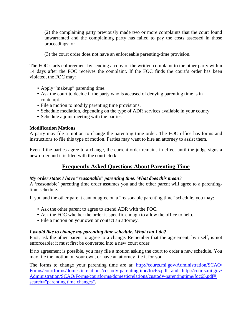(2) the complaining party previously made two or more complaints that the court found unwarranted and the complaining party has failed to pay the costs assessed in those proceedings; or

(3) the court order does not have an enforceable parenting-time provision.

The FOC starts enforcement by sending a copy of the written complaint to the other party within 14 days after the FOC receives the complaint. If the FOC finds the court's order has been violated, the FOC may:

- Apply "makeup" parenting time.
- Ask the court to decide if the party who is accused of denying parenting time is in contempt.
- File a motion to modify parenting time provisions.
- Schedule mediation, depending on the type of ADR services available in your county.
- Schedule a joint meeting with the parties.

#### **Modification Motions**

A party may file a motion to change the parenting time order. The FOC office has forms and instructions to file this type of motion. Parties may want to hire an attorney to assist them.

<span id="page-12-0"></span>Even if the parties agree to a change, the current order remains in effect until the judge signs a new order and it is filed with the court clerk.

## **Frequently Asked Questions About Parenting Time**

#### *My order states I have "reasonable" parenting time. What does this mean?*

A 'reasonable' parenting time order assumes you and the other parent will agree to a parentingtime schedule.

If you and the other parent cannot agree on a "reasonable parenting time" schedule, you may:

- Ask the other parent to agree to attend ADR with the FOC.
- Ask the FOC whether the order is specific enough to allow the office to help.
- File a motion on your own or contact an attorney.

#### *I would like to change my parenting time schedule. What can I do?*

First, ask the other parent to agree to a change. Remember that the agreement, by itself, is not enforceable; it must first be converted into a new court order.

If no agreement is possible, you may file a motion asking the court to order a new schedule. You may file the motion on your own, or have an attorney file it for you.

The forms to change your parenting time are at: [http://courts.mi.gov/Administration/SCAO/](http://courts.mi.gov/Administration/SCAO/%20Forms/courtforms/domesticrelations/custody-parentingtime/foc65.pdf)  [Forms/courtforms/domesticrelations/custody-parentingtime/foc65.pdf](http://courts.mi.gov/Administration/SCAO/%20Forms/courtforms/domesticrelations/custody-parentingtime/foc65.pdf) and [http://courts.mi.gov/](http://courts.mi.gov/%20Administration/SCAO/Forms/courtforms/domesticrelations/custody-parentingtime/foc65.pdf# search="parenting time changes") [Administration/SCAO/Forms/courtforms/domesticrelations/custody-parentingtime/foc65.pdf#](http://courts.mi.gov/%20Administration/SCAO/Forms/courtforms/domesticrelations/custody-parentingtime/foc65.pdf# search="parenting time changes") [search="parenting time changes"](http://courts.mi.gov/%20Administration/SCAO/Forms/courtforms/domesticrelations/custody-parentingtime/foc65.pdf# search="parenting time changes")**.**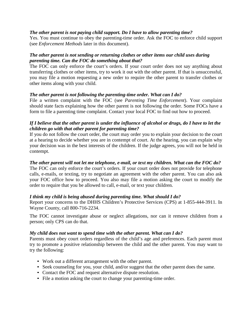#### *The other parent is not paying child support. Do I have to allow parenting time?*

Yes. You must continue to obey the parenting-time order. Ask the FOC to enforce child support (see *Enforcement Methods* later in this document).

#### *The other parent is not sending or returning clothes or other items our child uses during parenting time. Can the FOC do something about that?*

The FOC can only enforce the court's orders. If your court order does not say anything about transferring clothes or other items, try to work it out with the other parent. If that is unsuccessful, you may file a motion requesting a new order to require the other parent to transfer clothes or other items along with your child.

#### *The other parent is not following the parenting-time order. What can I do?*

File a written complaint with the FOC (see *Parenting Time Enforcement*). Your complaint should state facts explaining how the other parent is not following the order. Some FOCs have a form to file a parenting time complaint. Contact your local FOC to find out how to proceed.

#### *If I believe that the other parent is under the influence of alcohol or drugs, do I have to let the children go with that other parent for parenting time?*

If you do not follow the court order, the court may order you to explain your decision to the court at a hearing to decide whether you are in contempt of court. At the hearing, you can explain why your decision was in the best interests of the children. If the judge agrees, you will not be held in contempt.

#### *The other parent will not let me telephone, e-mail, or text my children. What can the FOC do?*

The FOC can only enforce the court's orders. If your court order does not provide for telephone calls, e-mails, or texting, try to negotiate an agreement with the other parent. You can also ask your FOC office how to proceed. You also may file a motion asking the court to modify the order to require that you be allowed to call, e-mail, or text your children.

#### *I think my child is being abused during parenting time. What should I do?*

Report your concerns to the DHHS Children's Protective Services (CPS) at 1-855-444-3911. In Wayne County, call 800-716-2234.

The FOC cannot investigate abuse or neglect allegations, nor can it remove children from a person; only CPS can do that.

#### *My child does not want to spend time with the other parent. What can I do?*

Parents must obey court orders regardless of the child's age and preferences. Each parent must try to promote a positive relationship between the child and the other parent. You may want to try the following:

- Work out a different arrangement with the other parent.
- Seek counseling for you, your child, and/or suggest that the other parent does the same.
- Contact the FOC and request alternative dispute resolution.
- File a motion asking the court to change your parenting-time order.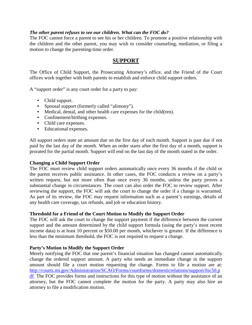#### *The other parent refuses to see our children. What can the FOC do?*

<span id="page-14-0"></span>The FOC cannot force a parent to see his or her children. To promote a positive relationship with the children and the other parent, you may wish to consider counseling, mediation, or filing a motion to change the parenting-time order.

#### **SUPPORT**

The Office of Child Support, the Prosecuting Attorney's office, and the Friend of the Court offices work together with both parents to establish and enforce child support orders.

A "support order" is any court order for a party to pay:

- Child support.
- Spousal support (formerly called "alimony").
- Medical, dental, and other health care expenses for the child(ren).
- Confinement/birthing expenses.
- Child care expenses.
- Educational expenses.

All support orders state an amount due on the first day of each month. Support is past due if not paid by the last day of the month. When an order starts after the first day of a month, support is prorated for the partial month. Support will end on the last day of the month stated in the order.

#### **Changing a Child Support Order**

The FOC must review child support orders automatically once every 36 months if the child or the parent receives public assistance. In other cases, the FOC conducts a review on a party's written request, but not more often than once every 36 months, unless the party proves a substantial change in circumstances. The court can also order the FOC to review support. After reviewing the support, the FOC will ask the court to change the order if a change is warranted. As part of its review, the FOC may request information such as a parent's earnings, details of any health care coverage, tax refunds, and job or education history.

#### **Threshold for a Friend of the Court Motion to Modify the Support Order**

The FOC will ask the court to change the support payment if the difference between the current support and the amount determined by the child support formula (using the party's most recent income data) is at least 10 percent or \$50.00 per month, whichever is greater. If the difference is less than the minimum threshold, the FOC is not required to request a change.

#### **Party's Motion to Modify the Support Order**

Merely notifying the FOC that one parent's financial situation has changed cannot automatically change the ordered support amount. A party who needs an immediate change in the support amount should file a court motion requesting the change. Forms to file a motion are at: [http://courts.mi.gov/Administration/SCAO/Forms/courtforms/domesticrelations/support/foc50.p](http://courts.mi.gov/Administration/SCAO/Forms/courtforms/domesticrelations/support/foc50.pdf) [df.](http://courts.mi.gov/Administration/SCAO/Forms/courtforms/domesticrelations/support/foc50.pdf) The FOC provides forms and instructions for this type of motion without the assistance of an attorney, but the FOC cannot complete the motion for the party. A party may also hire an attorney to file a modification motion.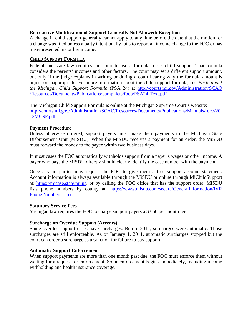#### **Retroactive Modification of Support Generally Not Allowed: Exception**

A change in child support generally cannot apply to any time before the date that the motion for a change was filed unless a party intentionally fails to report an income change to the FOC or has misrepresented his or her income.

#### <span id="page-15-0"></span>**CHILD SUPPORT FORMULA**

Federal and state law requires the court to use a formula to set child support. That formula considers the parents' incomes and other factors. The court may set a different support amount, but only if the judge explains in writing or during a court hearing why the formula amount is unjust or inappropriate. For more information about the child support formula, see *Facts about the Michigan Child Support Formula* (PSA 24) at [http://courts.mi.gov/Administration/SCAO](http://courts.mi.gov/Administration/SCAO%20/Resources/Documents/Publications/pamphlets/focb/PSA24-Text.pdf) [/Resources/Documents/Publications/pamphlets/focb/PSA24-Text.pdf.](http://courts.mi.gov/Administration/SCAO%20/Resources/Documents/Publications/pamphlets/focb/PSA24-Text.pdf)

The Michigan Child Support Formula is online at the Michigan Supreme Court's website: [http://courts.mi.gov/Administration/SCAO/Resources/Documents/Publications/Manuals/focb/20](http://courts.mi.gov/Administration/SCAO/Resources/Documents/Publications/Manuals/focb/2013MCSF.pdf) [13MCSF.pdf.](http://courts.mi.gov/Administration/SCAO/Resources/Documents/Publications/Manuals/focb/2013MCSF.pdf)

#### **Payment Procedure**

Unless otherwise ordered, support payers must make their payments to the Michigan State Disbursement Unit (MiSDU). When the MiSDU receives a payment for an order, the MiSDU must forward the money to the payee within two business days.

In most cases the FOC automatically withholds support from a payer's wages or other income. A payer who pays the MiSDU directly should clearly identify the case number with the payment.

Once a year, parties may request the FOC to give them a free support account statement. Account information is always available through the MiSDU or online through MiChildSupport at: [https://micase.state.mi.us,](https://micase.state.mi.us/micaseapp/welcome.do) or by calling the FOC office that has the support order. MiSDU lists phone numbers by county at: [https://www.misdu.com/secure/GeneralInformation/IVR](https://www.misdu.com/secure/default.aspx) Phone [Numbers.aspx.](https://www.misdu.com/secure/default.aspx)

#### **Statutory Service Fees**

Michigan law requires the FOC to charge support payers a \$3.50 per month fee.

#### **Surcharge on Overdue Support (Arrears)**

Some overdue support cases have surcharges. Before 2011, surcharges were automatic. Those surcharges are still enforceable. As of January 1, 2011, automatic surcharges stopped but the court can order a surcharge as a sanction for failure to pay support.

#### **Automatic Support Enforcement**

When support payments are more than one month past due, the FOC must enforce them without waiting for a request for enforcement. Some enforcement begins immediately, including income withholding and health insurance coverage.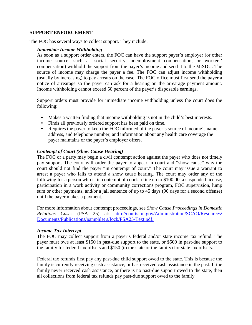#### <span id="page-16-0"></span>**SUPPORT ENFORCEMENT**

The FOC has several ways to collect support. They include:

#### *Immediate Income Withholding*

As soon as a support order enters, the FOC can have the support payer's employer (or other income source, such as social security, unemployment compensation, or workers' compensation) withhold the support from the payer's income and send it to the MiSDU. The source of income may charge the payer a fee. The FOC can adjust income withholding (usually by increasing) to pay arrears on the case. The FOC office must first send the payer a notice of arrearage so the payer can ask for a hearing on the arrearage payment amount. Income withholding cannot exceed 50 percent of the payer's disposable earnings.

Support orders must provide for immediate income withholding unless the court does the following:

- Makes a written finding that income withholding is not in the child's best interests.
- Finds all previously ordered support has been paid on time.
- Requires the payer to keep the FOC informed of the payer's source of income's name, address, and telephone number, and information about any health care coverage the payer maintains or the payer's employer offers.

#### *Contempt of Court (Show Cause Hearing)*

The FOC or a party may begin a civil contempt action against the payer who does not timely pay support. The court will order the payer to appear in court and "show cause" why the court should not find the payer "in contempt of court." The court may issue a warrant to arrest a payer who fails to attend a show cause hearing. The court may order any of the following for a person who is in contempt of court: a fine up to \$100.00, a suspended license, participation in a work activity or community corrections program, FOC supervision, lump sum or other payments, and/or a jail sentence of up to 45 days (90 days for a second offense) until the payer makes a payment.

For more information about contempt proceedings, see *Show Cause Proceedings in Domestic Relations Cases* (PSA 25) at: [http://courts.mi.gov/Administration/SCAO/Resources/](http://courts.mi.gov/Administration/SCAO/Resources/%20Documents/Publications/pamphlet)  [Documents/Publications/pamphlet](http://courts.mi.gov/Administration/SCAO/Resources/%20Documents/Publications/pamphlet) [s/focb/PSA25-Text.pdf.](http://courts.mi.gov/Administration/SCAO/Resources/Documents/Publications/pamphlets/focb/PSA25-Text.pdf)

#### *Income Tax Intercept*

The FOC may collect support from a payer's federal and/or state income tax refund. The payer must owe at least \$150 in past-due support to the state, or \$500 in past-due support to the family for federal tax offsets and \$150 (to the state or the family) for state tax offsets.

Federal tax refunds first pay any past-due child support owed to the state. This is because the family is currently receiving cash assistance, or has received cash assistance in the past. If the family never received cash assistance, or there is no past-due support owed to the state, then all collections from federal tax refunds pay past-due support owed to the family.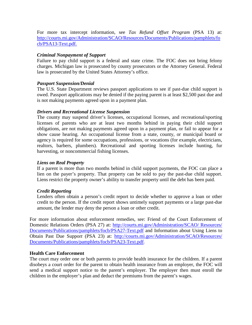For more tax intercept information, see *Tax Refund Offset Program* (PSA 13) at: [http://courts.mi.gov/Administration/SCAO/Resources/Documents/Publications/pamphlets/fo](http://courts.mi.gov/Administration/SCAO/Resources/Documents/Publications/pamphlets/focb/PSA13-Text.pdf) [cb/PSA13-Text.pdf.](http://courts.mi.gov/Administration/SCAO/Resources/Documents/Publications/pamphlets/focb/PSA13-Text.pdf)

#### *Criminal Nonpayment of Support*

Failure to pay child support is a federal and state crime. The FOC does not bring felony charges. Michigan law is prosecuted by county prosecutors or the Attorney General. Federal law is prosecuted by the United States Attorney's office.

#### *Passport Suspension/Denial*

The U.S. State Department reviews passport applications to see if past-due child support is owed. Passport applications may be denied if the paying parent is at least \$2,500 past due and is not making payments agreed upon in a payment plan.

#### *Drivers and Recreational License Suspension*

The county may suspend driver's licenses, occupational licenses, and recreational/sporting licenses of parents who are at least two months behind in paying their child support obligations, are not making payments agreed upon in a payment plan, or fail to appear for a show cause hearing. An occupational license from a state, county, or municipal board or agency is required for some occupations, professions, or vocations (for example, electricians, realtors, barbers, plumbers). Recreational and sporting licenses include hunting, fur harvesting, or noncommercial fishing licenses.

#### *Liens on Real Property*

If a parent is more than two months behind in child support payments, the FOC can place a lien on the payer's property. That property can be sold to pay the past-due child support. Liens restrict the property owner's ability to transfer property until the debt has been paid.

#### *Credit Reporting*

Lenders often obtain a person's credit report to decide whether to approve a loan or other credit to the person. If the credit report shows untimely support payments or a large past-due amount, the lender may deny the person a loan or other credit.

For more information about enforcement remedies, see: Friend of the Court Enforcement of Domestic Relations Orders (PSA 27) at: [http://courts.mi.gov/Administration/SCAO/](http://courts.mi.gov/Administration/SCAO/Resources/Documents/Publications/pamphlets/focb/PSA27-Text.pdf) Resources/ [Documents/Publications/pamphlets/focb/PSA27-Text.pdf](http://courts.mi.gov/Administration/SCAO/Resources/Documents/Publications/pamphlets/focb/PSA27-Text.pdf) and Information about Using Liens to Obtain Past Due Suppor*t* (PSA 23) at: [http://courts.mi.gov/Administration/SCAO/Resources/](http://courts.mi.gov/Administration/SCAO/Resources/%20Documents/Publications/pamphlets/focb/PSA23-Text.pdf)  [Documents/Publications/pamphlets/focb/PSA23-Text.pdf.](http://courts.mi.gov/Administration/SCAO/Resources/%20Documents/Publications/pamphlets/focb/PSA23-Text.pdf)

#### **Health Care Enforcement**

The court may order one or both parents to provide health insurance for the children. If a parent disobeys a court order for the parent to obtain health insurance from an employer, the FOC will send a medical support notice to the parent's employer. The employer then must enroll the children in the employer's plan and deduct the premiums from the parent's wages.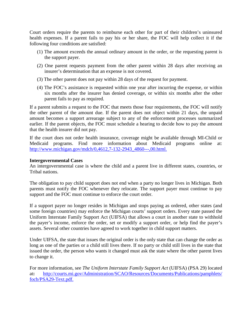Court orders require the parents to reimburse each other for part of their children's uninsured health expenses. If a parent fails to pay his or her share, the FOC will help collect it if the following four conditions are satisfied:

- (1) The amount exceeds the annual ordinary amount in the order, or the requesting parent is the support payer.
- (2) One parent requests payment from the other parent within 28 days after receiving an insurer's determination that an expense is not covered.
- (3) The other parent does not pay within 28 days of the request for payment.
- (4) The FOC's assistance is requested within one year after incurring the expense, or within six months after the insurer has denied coverage, or within six months after the other parent fails to pay as required.

If a parent submits a request to the FOC that meets those four requirements, the FOC will notify the other parent of the amount due. If the parent does not object within 21 days, the unpaid amount becomes a support arrearage subject to any of the enforcement processes summarized earlier. If the parent objects, the FOC must schedule a hearing to decide how to pay the amount that the health insurer did not pay.

If the court does not order health insurance, coverage might be available through MI-Child or Medicaid programs. Find more information about Medicaid programs online at: [http://www.michigan.gov/mdch/0,4612,7-132-2943\\_4860---,00.html.](http://www.michigan.gov/mdch/0%2C4612%2C7-132-2943_4860---%2C00.html)

#### **Intergovernmental Cases**

An intergovernmental case is where the child and a parent live in different states, countries, or Tribal nations.

The obligation to pay child support does not end when a party no longer lives in Michigan. Both parents must notify the FOC whenever they relocate. The support payer must continue to pay support and the FOC must continue to enforce the court order.

If a support payer no longer resides in Michigan and stops paying as ordered, other states (and some foreign countries) may enforce the Michigan courts' support orders. Every state passed the Uniform Interstate Family Support Act (UIFSA) that allows a court in another state to withhold the payer's income, enforce the order, set or modify a support order, or help find the payer's assets. Several other countries have agreed to work together in child support matters.

Under UIFSA, the state that issues the original order is the only state that can change the order as long as one of the parties or a child still lives there. If no party or child still lives in the state that issued the order, the person who wants it changed must ask the state where the other parent lives to change it.

For more information, see *The Uniform Interstate Family Support Act* (UIFSA) (PSA 29) located at**:** [http://courts.mi.gov/Administration/SCAO/Resources/Documents/Publications/pamphlets/](http://courts.mi.gov/Administration/SCAO/Resources/Documents/Publications/pamphlets/%20focb/PSA29-Text.pdf)  [focb/PSA29-Text.pdf.](http://courts.mi.gov/Administration/SCAO/Resources/Documents/Publications/pamphlets/%20focb/PSA29-Text.pdf)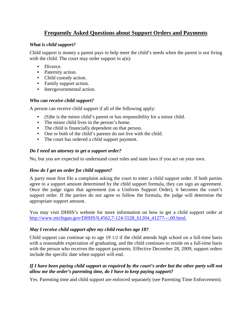## **Frequently Asked Questions about Support Orders and Payments**

#### <span id="page-19-0"></span>*What is child support?*

Child support is money a parent pays to help meet the child's needs when the parent is not living with the child. The court may order support in  $a(n)$ :

- Divorce.
- Paternity action.
- Child custody action.
- Family support action.
- Intergovernmental action.

#### *Who can receive child support?*

A person can receive child support if all of the following apply:

- (S)he is the minor child's parent or has responsibility for a minor child.
- The minor child lives in the person's home.
- The child is financially dependent on that person.
- One or both of the child's parents do not live with the child.
- The court has ordered a child support payment.

#### *Do I need an attorney to get a support order?*

No, but you are expected to understand court rules and state laws if you act on your own.

#### *How do I get an order for child support?*

A party must first file a complaint asking the court to enter a child support order. If both parties agree to a support amount determined by the child support formula, they can sign an agreement. Once the judge signs that agreement (on a Uniform Support Order), it becomes the court's support order. If the parties do not agree to follow the formula, the judge will determine the appropriate support amount.

You may visit DHHS's website for more information on how to get a child support order at [http://www.michigan.gov/DHHS/0,4562,7-124-5528\\_61204\\_41277---,00.html.](http://www.michigan.gov/dhs/0%2C4562%2C7-124-5528_61204_41277---%2C00.html)

#### *May I receive child support after my child reaches age 18?*

Child support can continue up to age 19 1/2 if the child attends high school on a full-time basis with a reasonable expectation of graduating, and the child continues to reside on a full-time basis with the person who receives the support payments. Effective December 28, 2009, support orders include the specific date when support will end.

#### *If I have been paying child support as required by the court's order but the other party will not allow me the order's parenting time, do I have to keep paying support?*

Yes. Parenting time and child support are enforced separately (see Parenting Time Enforcement).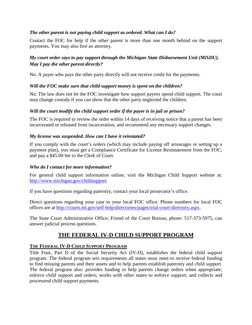#### *The other parent is not paying child support as ordered. What can I do?*

Contact the FOC for help if the other parent is more than one month behind on the support payments. You may also hire an attorney.

### *My court order says to pay support through the Michigan State Disbursement Unit (MiSDU). May I pay the other parent directly?*

No. A payer who pays the other party directly will not receive credit for the payments.

#### *Will the FOC make sure that child support money is spent on the children?*

No. The law does not let the FOC investigate how support payees spend child support. The court may change custody if you can show that the other party neglected the children.

#### *Will the court modify the child support order if the payer is in jail or prison?*

The FOC is required to review the order within 14 days of receiving notice that a parent has been incarcerated or released from incarceration, and recommend any necessary support changes.

#### *My license was suspended. How can I have it reinstated?*

If you comply with the court's orders (which may include paying off arrearages or setting up a payment plan), you must get a Compliance Certificate for License Reinstatement from the FOC, and pay a \$45.00 fee to the Clerk of Court.

#### *Who do I contact for more information***?**

For general child support information online, visit the Michigan Child Support website at: [http://www.michigan.gov/childsupport.](http://www.michigan.gov/childsupport)

If you have questions regarding paternity, contact your local prosecutor's office.

Direct questions regarding your case to your local FOC office. Phone numbers for local FOC offices are at [http://courts.mi.gov/self-help/directories/pages/trial-court-directory.aspx.](http://courts.mi.gov/self-help/directories/pages/trial-court-directory.aspx)

The State Court Administrative Office, Friend of the Court Bureau, phone: 517-373-5975, can answer judicial process questions.

## **THE FEDERAL IV-D CHILD SUPPORT PROGRAM**

#### <span id="page-20-0"></span>**THE FEDERAL IV-D CHILD SUPPORT PROGRAM**

Title Four, Part D of the Social Security Act (IV-D), establishes the federal child support program. The federal program sets requirements all states must meet to receive federal funding to find missing parents and their assets and to help parents establish paternity and child support. The federal program also: provides funding to help parents change orders when appropriate; enforce child support and orders; works with other states to enforce support; and collects and processesd child support payments.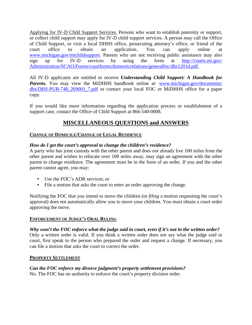Applying for IV-D Child Support Services. Persons who want to establish paternity or support, or collect child support may apply for IV-D child support services. A person may call the Office of Child Support, or visit a local DHHS office, prosecuting attorney's office, or friend of the court office to obtain an application. You can apply online at [www.michigan.gov/michildsupport.](http://www.michigan.gov/michildsupport) Parents who are not receiving public assistance may also sign up for IV-D services by using the form at [http://courts.mi.gov/](http://courts.mi.gov/%20Administration/SCAO/Forms/courtforms/domesticrelations/generalfoc/dhs1201d.pdf)  [Administration/SCAO/Forms/courtforms/domesticrelations/generalfoc/dhs1201d.pdf.](http://courts.mi.gov/%20Administration/SCAO/Forms/courtforms/domesticrelations/generalfoc/dhs1201d.pdf)

All IV-D applicants are entitled to receive *Understanding Child Support: A Handbook for Parents.* You may view the MiDHHS handbook online at: www.michigan.gov/documents/ dhs/DHS-PUB-748 209001 7.pdf or contact your local FOC or MiDHHS office for a paper copy.

<span id="page-21-0"></span>If you would like more information regarding the application process or establishment of a support case, contact the Office of Child Support at 866-540-0008.

## **MISCELLANEOUS QUESTIONS and ANSWERS**

#### **CHANGE OF DOMICILE/CHANGE OF LEGAL RESIDENCE**

#### *How do I get the court's approval to change the children's residence?*

A party who has joint custody with the other parent and does not already live 100 miles from the other parent and wishes to relocate over 100 miles away, may sign an agreement with the other parent to change residence. The agreement must be in the form of an order. If you and the other parent cannot agree, you may:

- Use the FOC's ADR services; or
- File a motion that asks the court to enter an order approving the change.

Notifying the FOC that you intend to move the children (or *filing* a motion requesting the court's approval) does not automatically allow you to move your children. You must obtain a court order approving the move.

#### **ENFORCEMENT OF JUDGE'S ORAL RULING**

*Why won't the FOC enforce what the judge said in court, even if it's not in the written order?* Only a written order is valid. If you think a written order does not say what the judge said in court, first speak to the person who prepared the order and request a change. If necessary, you can file a motion that asks the court to correct the order.

#### **PROPERTY SETTLEMENT**

*Can the FOC enforce my divorce judgment's property settlement provisions?* No. The FOC has no authority to enforce the court's property division order.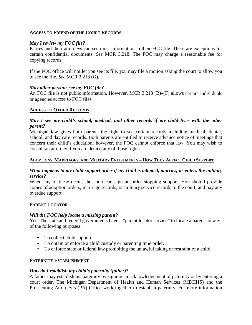#### **ACCESS TO FRIEND OF THE COURT RECORDS**

#### *May I review my FOC file?*

Parties and their attorneys can see most information in their FOC file. There are exceptions for certain confidential documents. *See* MCR 3.218. The FOC may charge a reasonable fee for copying records.

If the FOC office will not let you see its file, you may file a motion asking the court to allow you to see the file. *See* MCR 3.218 (G).

#### *May other persons see my FOC file?*

An FOC file is not public information. However, MCR 3.218 (B)–(F) allows certain individuals or agencies access to FOC files.

#### **ACCESS TO OTHER RECORDS**

#### *May I see my child's school, medical, and other records if my child lives with the other parent?*

Michigan law gives both parents the right to see certain records including medical, dental, school, and day care records. Both parents are entitled to receive advance notice of meetings that concern their child's education; however, the FOC cannot enforce that law. You may wish to consult an attorney if you are denied any of those rights.

#### **ADOPTIONS, MARRIAGES, AND MILITARY ENLISTMENTS – HOW THEY AFFECT CHILD SUPPORT**

#### *What happens to my child support order if my child is adopted, marries, or enters the military service?*

When any of these occur, the court can sign an order stopping support. You should provide copies of adoption orders, marriage records, or military service records to the court, and pay any overdue support.

#### **PARENT LOCATOR**

#### *Will the FOC help locate a missing parent?*

Yes. The state and federal governments have a "parent locator service" to locate a parent for any of the following purposes:

- To collect child support.
- To obtain or enforce a child custody or parenting time order.
- To enforce state or federal law prohibiting the unlawful taking or restraint of a child.

#### **PATERNITY ESTABLISHMENT**

#### *How do I establish my child's paternity (father)?*

A father may establish his paternity by signing an acknowledgement of paternity or by entering a court order. The Michigan Department of Health and Human Services (MDHHS) and the Prosecuting Attorney's (PA) Office work together to establish paternity. For more information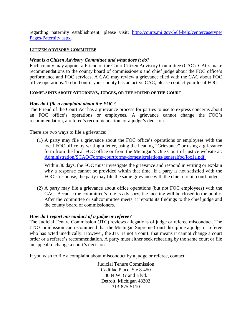regarding paternity establishment, please visit: [http://courts.mi.gov/Self-help/centercasetype/](http://courts.mi.gov/Self-help/centercasetype/%20Pages/Paternity.aspx)  [Pages/Paternity.aspx.](http://courts.mi.gov/Self-help/centercasetype/%20Pages/Paternity.aspx)

#### **CITIZEN ADVISORY COMMITTEE**

#### *What is a Citizen Advisory Committee and what does it do?*

Each county may appoint a Friend of the Court Citizen Advisory Committee (CAC). CACs make recommendations to the county board of commissioners and chief judge about the FOC office's performance and FOC services. A CAC may review a grievance filed with the CAC about FOC office operations. To find out if your county has an active CAC, please contact your local FOC.

#### <span id="page-23-0"></span>**COMPLAINTS ABOUT ATTORNEYS, JUDGES, OR THE FRIEND OF THE COURT**

#### *How do I file a complaint about the FOC?*

The Friend of the Court Act has a grievance process for parties to use to express concerns about an FOC office's operations or employees. A grievance cannot change the FOC's recommendation, a referee's recommendation, or a judge's decision.

There are two ways to file a grievance:

(1) A party may file a grievance about the FOC office's operations or employees with the local FOC office by writing a letter, using the heading "Grievance" or using a grievance form from the local FOC office or from the Michigan's One Court of Justice website at: [Administration/SCAO/Forms/courtforms/domesticrelations/generalfoc/foc1a.pdf.](http://courts.mi.gov/Administration/SCAO/Forms/courtforms/domesticrelations/generalfoc/foc1a.pdf)

Within 30 days, the FOC must investigate the grievance and respond in writing or explain why a response cannot be provided within that time. If a party is not satisfied with the FOC's response, the party may file the same grievance with the chief circuit court judge.

(2) A party may file a grievance about office operations (but not FOC employees) with the CAC. Because the committee's role is advisory, the meeting will be closed to the public. After the committee or subcommittee meets, it reports its findings to the chief judge and the county board of commissioners.

#### *How do I report misconduct of a judge or referee?*

The Judicial Tenure Commission (JTC) reviews allegations of judge or referee misconduct. The JTC Commission can recommend that the Michigan Supreme Court discipline a judge or referee who has acted unethically. However, the JTC is not a court; that means it cannot change a court order or a referee's recommendation. A party must either seek rehearing by the same court or file an appeal to change a court's decision.

If you wish to file a complaint about misconduct by a judge or referee, contact:

Judicial Tenure Commission Cadillac Place, Ste 8-450 3034 W. Grand Blvd. Detroit, Michigan 48202 313-875-5110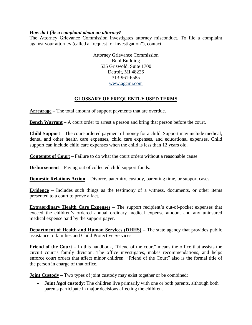#### *How do I file a complaint about an attorney?*

The Attorney Grievance Commission investigates attorney misconduct. To file a complaint against your attorney (called a "request for investigation"), contact:

> Attorney Grievance Commission Buhl Building 535 Griswold, Suite 1700 Detroit, MI 48226 313-961-6585 [www.agcmi.com](http://www.agcmi.com/)

#### **GLOSSARY OF FREQUENTLY USED TERMS**

<span id="page-24-0"></span>**Arrearage** – The total amount of support payments that are overdue.

**Bench Warrant** – A court order to arrest a person and bring that person before the court.

**Child Support** – The court-ordered payment of money for a child. Support may include medical, dental and other health care expenses, child care expenses, and educational expenses. Child support can include child care expenses when the child is less than 12 years old.

**Contempt of Court** – Failure to do what the court orders without a reasonable cause.

**Disbursement** – Paying out of collected child support funds.

**Domestic Relations Action** – Divorce, paternity, custody, parenting time, or support cases.

**Evidence** – Includes such things as the testimony of a witness, documents, or other items presented to a court to prove a fact.

**Extraordinary Health Care Expenses** – The support recipient's out-of-pocket expenses that exceed the children's ordered annual ordinary medical expense amount and any uninsured medical expense paid by the support payer.

**Department of Health and Human Services (DHHS)** – The state agency that provides public assistance to families and Child Protective Services.

**Friend of the Court** – In this handbook, "friend of the court" means the office that assists the circuit court's family division. The office investigates, makes recommendations, and helps enforce court orders that affect minor children. "Friend of the Court" also is the formal title of the person in charge of that office.

**Joint Custody** – Two types of joint custody may exist together or be combined:

• **Joint** *legal* **custody**: The children live primarily with one or both parents, although both parents participate in major decisions affecting the children.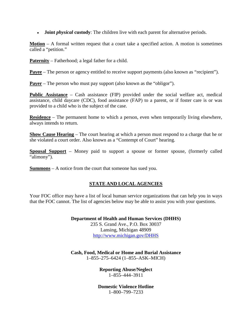• **Joint** *physical* **custody**: The children live with each parent for alternative periods.

**Motion** – A formal written request that a court take a specified action. A motion is sometimes called a "petition."

**Paternity** – Fatherhood; a legal father for a child.

**Payee** – The person or agency entitled to receive support payments (also known as "recipient").

**Payer** – The person who must pay support (also known as the "obligor").

**Public Assistance** – Cash assistance (FIP) provided under the social welfare act, medical assistance, child daycare (CDC), food assistance (FAP) to a parent, or if foster care is or was provided to a child who is the subject of the case.

**Residence** – The permanent home to which a person, even when temporarily living elsewhere, always intends to return.

**Show Cause Hearing** – The court hearing at which a person must respond to a charge that he or she violated a court order. Also known as a "Contempt of Court" hearing.

**Spousal Support** – Money paid to support a spouse or former spouse, (formerly called "alimony").

<span id="page-25-0"></span>**Summons** – A notice from the court that someone has sued you.

#### **STATE AND LOCAL AGENCIES**

Your FOC office may have a list of local human service organizations that can help you in ways that the FOC cannot. The list of agencies below may be able to assist you with your questions.

> **Department of Health and Human Services (DHHS)** 235 S. Grand Ave., P.O. Box 30037 Lansing, Michigan 48909 <http://www.michigan.gov/DHHS>

> **Cash, Food, Medical or Home and Burial Assistance** 1–855–275–6424 (1–855–ASK–MICH)

> > **Reporting Abuse/Neglect** 1–855–444–3911

**Domestic Violence Hotline** 1–800–799–7233